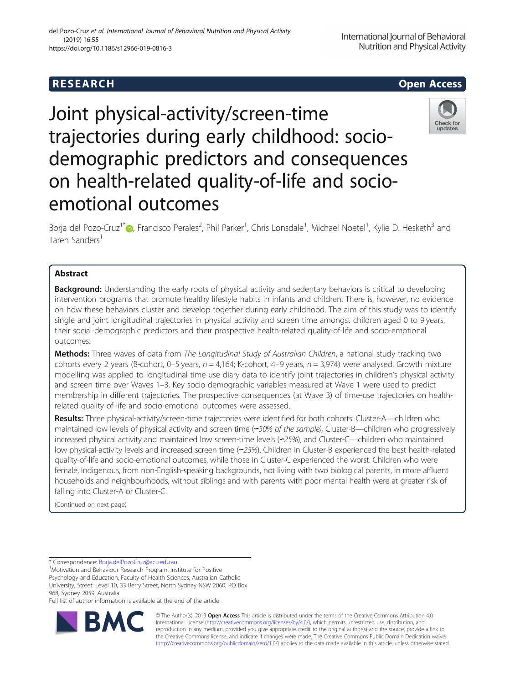# Joint physical-activity/screen-time trajectories during early childhood: sociodemographic predictors and consequences on health-related quality-of-life and socioemotional outcomes

Borja del Pozo-Cruz<sup>1[\\*](http://orcid.org/0000-0003-3944-2212)</sup>®, Francisco Perales<sup>2</sup>, Phil Parker<sup>1</sup>, Chris Lonsdale<sup>1</sup>, Michael Noetel<sup>1</sup>, Kylie D. Hesketh<sup>3</sup> and Taren Sanders<sup>1</sup>

# Abstract

**Background:** Understanding the early roots of physical activity and sedentary behaviors is critical to developing intervention programs that promote healthy lifestyle habits in infants and children. There is, however, no evidence on how these behaviors cluster and develop together during early childhood. The aim of this study was to identify single and joint longitudinal trajectories in physical activity and screen time amongst children aged 0 to 9 years, their social-demographic predictors and their prospective health-related quality-of-life and socio-emotional outcomes.

Methods: Three waves of data from The Longitudinal Study of Australian Children, a national study tracking two cohorts every 2 years (B-cohort, 0–5 years,  $n = 4.164$ ; K-cohort, 4–9 years,  $n = 3.974$ ) were analysed. Growth mixture modelling was applied to longitudinal time-use diary data to identify joint trajectories in children's physical activity and screen time over Waves 1–3. Key socio-demographic variables measured at Wave 1 were used to predict membership in different trajectories. The prospective consequences (at Wave 3) of time-use trajectories on healthrelated quality-of-life and socio-emotional outcomes were assessed.

Results: Three physical-activity/screen-time trajectories were identified for both cohorts: Cluster-A—children who maintained low levels of physical activity and screen time (∽50% of the sample), Cluster-B—children who progressively increased physical activity and maintained low screen-time levels (∽25%), and Cluster-C—children who maintained low physical-activity levels and increased screen time (∽25%). Children in Cluster-B experienced the best health-related quality-of-life and socio-emotional outcomes, while those in Cluster-C experienced the worst. Children who were female, Indigenous, from non-English-speaking backgrounds, not living with two biological parents, in more affluent households and neighbourhoods, without siblings and with parents with poor mental health were at greater risk of falling into Cluster-A or Cluster-C.

(Continued on next page)

\* Correspondence: [Borja.delPozoCruz@acu.edu.au](mailto:Borja.delPozoCruz@acu.edu.au) <sup>1</sup>

BΛ

<sup>1</sup>Motivation and Behaviour Research Program, Institute for Positive

Psychology and Education, Faculty of Health Sciences, Australian Catholic University, Street: Level 10, 33 Berry Street, North Sydney NSW 2060, PO Box 968, Sydney 2059, Australia

Full list of author information is available at the end of the article





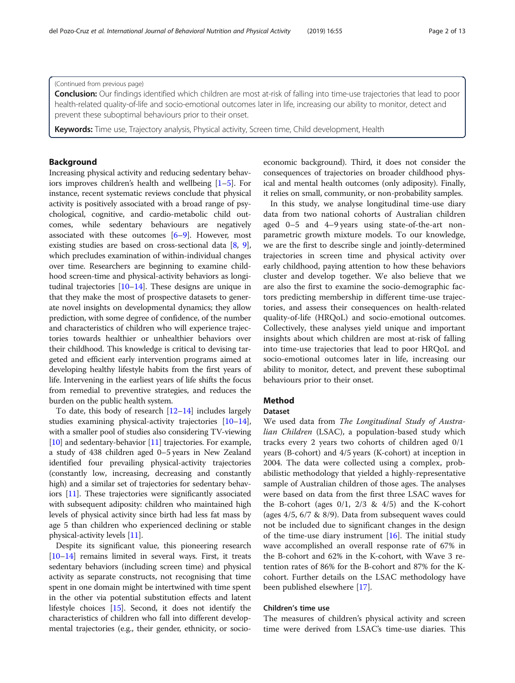## (Continued from previous page)

Conclusion: Our findings identified which children are most at-risk of falling into time-use trajectories that lead to poor health-related quality-of-life and socio-emotional outcomes later in life, increasing our ability to monitor, detect and prevent these suboptimal behaviours prior to their onset.

Keywords: Time use, Trajectory analysis, Physical activity, Screen time, Child development, Health

# Background

Increasing physical activity and reducing sedentary behaviors improves children's health and wellbeing [[1](#page-11-0)–[5](#page-11-0)]. For instance, recent systematic reviews conclude that physical activity is positively associated with a broad range of psychological, cognitive, and cardio-metabolic child outcomes, while sedentary behaviours are negatively associated with these outcomes [[6](#page-11-0)–[9](#page-11-0)]. However, most existing studies are based on cross-sectional data [\[8](#page-11-0), [9](#page-11-0)], which precludes examination of within-individual changes over time. Researchers are beginning to examine childhood screen-time and physical-activity behaviors as longitudinal trajectories [[10](#page-11-0)–[14\]](#page-11-0). These designs are unique in that they make the most of prospective datasets to generate novel insights on developmental dynamics; they allow prediction, with some degree of confidence, of the number and characteristics of children who will experience trajectories towards healthier or unhealthier behaviors over their childhood. This knowledge is critical to devising targeted and efficient early intervention programs aimed at developing healthy lifestyle habits from the first years of life. Intervening in the earliest years of life shifts the focus from remedial to preventive strategies, and reduces the burden on the public health system.

To date, this body of research [[12](#page-11-0)–[14\]](#page-11-0) includes largely studies examining physical-activity trajectories [\[10](#page-11-0)–[14](#page-11-0)], with a smaller pool of studies also considering TV-viewing [[10](#page-11-0)] and sedentary-behavior [\[11\]](#page-11-0) trajectories. For example, a study of 438 children aged 0–5 years in New Zealand identified four prevailing physical-activity trajectories (constantly low, increasing, decreasing and constantly high) and a similar set of trajectories for sedentary behaviors [[11](#page-11-0)]. These trajectories were significantly associated with subsequent adiposity: children who maintained high levels of physical activity since birth had less fat mass by age 5 than children who experienced declining or stable physical-activity levels [[11](#page-11-0)].

Despite its significant value, this pioneering research [[10](#page-11-0)–[14\]](#page-11-0) remains limited in several ways. First, it treats sedentary behaviors (including screen time) and physical activity as separate constructs, not recognising that time spent in one domain might be intertwined with time spent in the other via potential substitution effects and latent lifestyle choices [[15](#page-11-0)]. Second, it does not identify the characteristics of children who fall into different developmental trajectories (e.g., their gender, ethnicity, or socio-

economic background). Third, it does not consider the consequences of trajectories on broader childhood physical and mental health outcomes (only adiposity). Finally, it relies on small, community, or non-probability samples.

In this study, we analyse longitudinal time-use diary data from two national cohorts of Australian children aged 0–5 and 4–9 years using state-of-the-art nonparametric growth mixture models. To our knowledge, we are the first to describe single and jointly-determined trajectories in screen time and physical activity over early childhood, paying attention to how these behaviors cluster and develop together. We also believe that we are also the first to examine the socio-demographic factors predicting membership in different time-use trajectories, and assess their consequences on health-related quality-of-life (HRQoL) and socio-emotional outcomes. Collectively, these analyses yield unique and important insights about which children are most at-risk of falling into time-use trajectories that lead to poor HRQoL and socio-emotional outcomes later in life, increasing our ability to monitor, detect, and prevent these suboptimal behaviours prior to their onset.

# Method

#### Dataset

We used data from The Longitudinal Study of Australian Children (LSAC), a population-based study which tracks every 2 years two cohorts of children aged 0/1 years (B-cohort) and 4/5 years (K-cohort) at inception in 2004. The data were collected using a complex, probabilistic methodology that yielded a highly-representative sample of Australian children of those ages. The analyses were based on data from the first three LSAC waves for the B-cohort (ages  $0/1$ ,  $2/3$  &  $4/5$ ) and the K-cohort (ages 4/5, 6/7 & 8/9). Data from subsequent waves could not be included due to significant changes in the design of the time-use diary instrument [[16\]](#page-11-0). The initial study wave accomplished an overall response rate of 67% in the B-cohort and 62% in the K-cohort, with Wave 3 retention rates of 86% for the B-cohort and 87% for the Kcohort. Further details on the LSAC methodology have been published elsewhere [\[17](#page-11-0)].

# Children's time use

The measures of children's physical activity and screen time were derived from LSAC's time-use diaries. This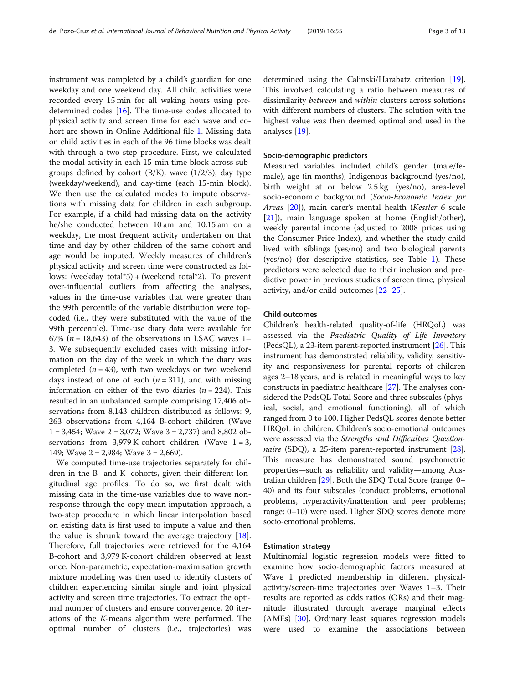instrument was completed by a child's guardian for one weekday and one weekend day. All child activities were recorded every 15 min for all waking hours using predetermined codes [\[16\]](#page-11-0). The time-use codes allocated to physical activity and screen time for each wave and cohort are shown in Online Additional file [1.](#page-10-0) Missing data on child activities in each of the 96 time blocks was dealt with through a two-step procedure. First, we calculated the modal activity in each 15-min time block across subgroups defined by cohort  $(B/K)$ , wave  $(1/2/3)$ , day type (weekday/weekend), and day-time (each 15-min block). We then use the calculated modes to impute observations with missing data for children in each subgroup. For example, if a child had missing data on the activity he/she conducted between 10 am and 10.15 am on a weekday, the most frequent activity undertaken on that time and day by other children of the same cohort and age would be imputed. Weekly measures of children's physical activity and screen time were constructed as follows: (weekday total\*5) + (weekend total\*2). To prevent over-influential outliers from affecting the analyses, values in the time-use variables that were greater than the 99th percentile of the variable distribution were topcoded (i.e., they were substituted with the value of the 99th percentile). Time-use diary data were available for 67% ( $n = 18,643$ ) of the observations in LSAC waves 1– 3. We subsequently excluded cases with missing information on the day of the week in which the diary was completed  $(n = 43)$ , with two weekdays or two weekend days instead of one of each  $(n = 311)$ , and with missing information on either of the two diaries  $(n = 224)$ . This resulted in an unbalanced sample comprising 17,406 observations from 8,143 children distributed as follows: 9, 263 observations from 4,164 B-cohort children (Wave  $1 = 3,454$ ; Wave  $2 = 3,072$ ; Wave  $3 = 2,737$ ) and 8,802 observations from 3,979 K-cohort children (Wave  $1 = 3$ , 149; Wave  $2 = 2,984$ ; Wave  $3 = 2,669$ ).

We computed time-use trajectories separately for children in the B- and K–cohorts, given their different longitudinal age profiles. To do so, we first dealt with missing data in the time-use variables due to wave nonresponse through the copy mean imputation approach, a two-step procedure in which linear interpolation based on existing data is first used to impute a value and then the value is shrunk toward the average trajectory [\[18](#page-11-0)]. Therefore, full trajectories were retrieved for the 4,164 B-cohort and 3,979 K-cohort children observed at least once. Non-parametric, expectation-maximisation growth mixture modelling was then used to identify clusters of children experiencing similar single and joint physical activity and screen time trajectories. To extract the optimal number of clusters and ensure convergence, 20 iterations of the K-means algorithm were performed. The optimal number of clusters (i.e., trajectories) was

determined using the Calinski/Harabatz criterion [\[19](#page-11-0)]. This involved calculating a ratio between measures of dissimilarity between and within clusters across solutions with different numbers of clusters. The solution with the highest value was then deemed optimal and used in the analyses [[19\]](#page-11-0).

#### Socio-demographic predictors

Measured variables included child's gender (male/female), age (in months), Indigenous background (yes/no), birth weight at or below 2.5 kg. (yes/no), area-level socio-economic background (Socio-Economic Index for Areas [\[20](#page-11-0)]), main carer's mental health (Kessler 6 scale [[21\]](#page-11-0)), main language spoken at home (English/other), weekly parental income (adjusted to 2008 prices using the Consumer Price Index), and whether the study child lived with siblings (yes/no) and two biological parents (yes/no) (for descriptive statistics, see Table [1\)](#page-3-0). These predictors were selected due to their inclusion and predictive power in previous studies of screen time, physical activity, and/or child outcomes [[22](#page-11-0)–[25](#page-11-0)].

# Child outcomes

Children's health-related quality-of-life (HRQoL) was assessed via the Paediatric Quality of Life Inventory (PedsQL), a 23-item parent-reported instrument  $[26]$  $[26]$ . This instrument has demonstrated reliability, validity, sensitivity and responsiveness for parental reports of children ages 2–18 years, and is related in meaningful ways to key constructs in paediatric healthcare [[27](#page-11-0)]. The analyses considered the PedsQL Total Score and three subscales (physical, social, and emotional functioning), all of which ranged from 0 to 100. Higher PedsQL scores denote better HRQoL in children. Children's socio-emotional outcomes were assessed via the Strengths and Difficulties Question-naire (SDQ), a 25-item parent-reported instrument [[28](#page-11-0)]. This measure has demonstrated sound psychometric properties—such as reliability and validity—among Australian children [[29](#page-11-0)]. Both the SDQ Total Score (range: 0– 40) and its four subscales (conduct problems, emotional problems, hyperactivity/inattention and peer problems; range: 0–10) were used. Higher SDQ scores denote more socio-emotional problems.

#### Estimation strategy

Multinomial logistic regression models were fitted to examine how socio-demographic factors measured at Wave 1 predicted membership in different physicalactivity/screen-time trajectories over Waves 1–3. Their results are reported as odds ratios (ORs) and their magnitude illustrated through average marginal effects (AMEs) [\[30](#page-11-0)]. Ordinary least squares regression models were used to examine the associations between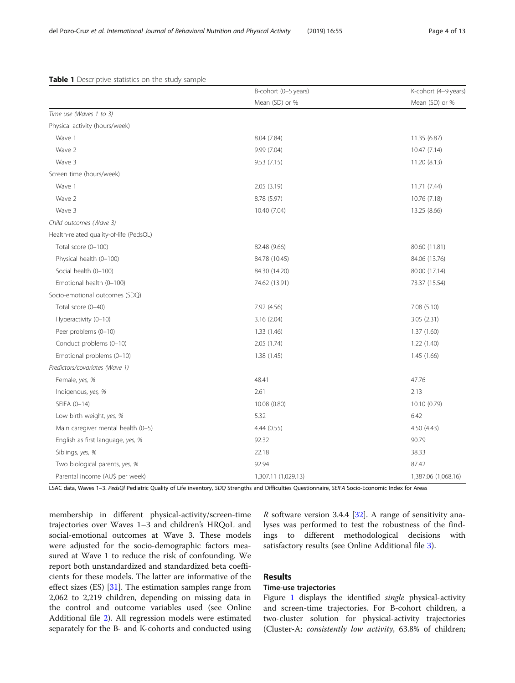|                                         | B-cohort (0-5 years) | K-cohort (4-9 years) |
|-----------------------------------------|----------------------|----------------------|
|                                         | Mean (SD) or %       | Mean (SD) or %       |
| Time use (Waves 1 to 3)                 |                      |                      |
| Physical activity (hours/week)          |                      |                      |
| Wave 1                                  | 8.04 (7.84)          | 11.35 (6.87)         |
| Wave 2                                  | 9.99 (7.04)          | 10.47(7.14)          |
| Wave 3                                  | 9.53(7.15)           | 11.20 (8.13)         |
| Screen time (hours/week)                |                      |                      |
| Wave 1                                  | 2.05(3.19)           | 11.71 (7.44)         |
| Wave 2                                  | 8.78 (5.97)          | 10.76 (7.18)         |
| Wave 3                                  | 10.40 (7.04)         | 13.25 (8.66)         |
| Child outcomes (Wave 3)                 |                      |                      |
| Health-related quality-of-life (PedsQL) |                      |                      |
| Total score (0-100)                     | 82.48 (9.66)         | 80.60 (11.81)        |
| Physical health (0-100)                 | 84.78 (10.45)        | 84.06 (13.76)        |
| Social health (0-100)                   | 84.30 (14.20)        | 80.00 (17.14)        |
| Emotional health (0-100)                | 74.62 (13.91)        | 73.37 (15.54)        |
| Socio-emotional outcomes (SDQ)          |                      |                      |
| Total score (0-40)                      | 7.92 (4.56)          | 7.08(5.10)           |
| Hyperactivity (0-10)                    | 3.16(2.04)           | 3.05 (2.31)          |
| Peer problems (0-10)                    | 1.33 (1.46)          | 1.37(1.60)           |
| Conduct problems (0-10)                 | 2.05(1.74)           | 1.22 (1.40)          |
| Emotional problems (0-10)               | 1.38(1.45)           | 1.45(1.66)           |
| Predictors/covariates (Wave 1)          |                      |                      |
| Female, yes, %                          | 48.41                | 47.76                |
| Indigenous, yes, %                      | 2.61                 | 2.13                 |
| SEIFA (0-14)                            | 10.08 (0.80)         | 10.10 (0.79)         |
| Low birth weight, yes, %                | 5.32                 | 6.42                 |
| Main caregiver mental health (0-5)      | 4.44(0.55)           | 4.50 (4.43)          |
| English as first language, yes, %       | 92.32                | 90.79                |
| Siblings, yes, %                        | 22.18                | 38.33                |
| Two biological parents, yes, %          | 92.94                | 87.42                |
| Parental income (AU\$ per week)         | 1,307.11 (1,029.13)  | 1,387.06 (1,068.16)  |

<span id="page-3-0"></span>Table 1 Descriptive statistics on the study sample

LSAC data, Waves 1-3. PedsQl Pediatric Quality of Life inventory, SDQ Strengths and Difficulties Questionnaire, SEIFA Socio-Economic Index for Areas

membership in different physical-activity/screen-time trajectories over Waves 1–3 and children's HRQoL and social-emotional outcomes at Wave 3. These models were adjusted for the socio-demographic factors measured at Wave 1 to reduce the risk of confounding. We report both unstandardized and standardized beta coefficients for these models. The latter are informative of the effect sizes (ES) [[31\]](#page-11-0). The estimation samples range from 2,062 to 2,219 children, depending on missing data in the control and outcome variables used (see Online Additional file [2\)](#page-10-0). All regression models were estimated separately for the B- and K-cohorts and conducted using  $R$  software version 3.4.4 [[32](#page-11-0)]. A range of sensitivity analyses was performed to test the robustness of the findings to different methodological decisions with satisfactory results (see Online Additional file [3](#page-10-0)).

# Results

## Time-use trajectories

Figure [1](#page-4-0) displays the identified *single* physical-activity and screen-time trajectories. For B-cohort children, a two-cluster solution for physical-activity trajectories (Cluster-A: consistently low activity, 63.8% of children;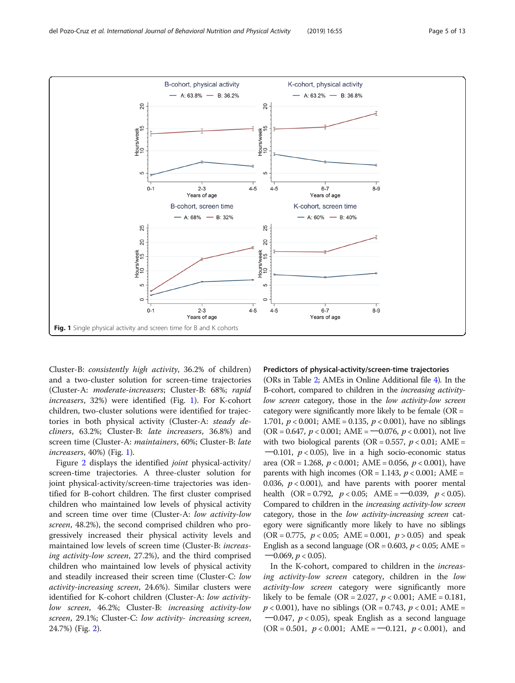<span id="page-4-0"></span>

Cluster-B: consistently high activity, 36.2% of children) and a two-cluster solution for screen-time trajectories (Cluster-A: moderate-increasers; Cluster-B: 68%; rapid increasers, 32%) were identified (Fig. 1). For K-cohort children, two-cluster solutions were identified for trajectories in both physical activity (Cluster-A: steady decliners, 63.2%; Cluster-B: late increasers, 36.8%) and screen time (Cluster-A: maintainers, 60%; Cluster-B: late increasers, 40%) (Fig. 1).

Figure [2](#page-5-0) displays the identified joint physical-activity/ screen-time trajectories. A three-cluster solution for joint physical-activity/screen-time trajectories was identified for B-cohort children. The first cluster comprised children who maintained low levels of physical activity and screen time over time (Cluster-A: low activity-low screen, 48.2%), the second comprised children who progressively increased their physical activity levels and maintained low levels of screen time (Cluster-B: increasing activity-low screen, 27.2%), and the third comprised children who maintained low levels of physical activity and steadily increased their screen time (Cluster-C: low activity-increasing screen, 24.6%). Similar clusters were identified for K-cohort children (Cluster-A: low activitylow screen, 46.2%; Cluster-B: increasing activity-low screen, 29.1%; Cluster-C: low activity- increasing screen, 24.7%) (Fig. [2](#page-5-0)).

#### Predictors of physical-activity/screen-time trajectories

(ORs in Table [2;](#page-5-0) AMEs in Online Additional file [4](#page-10-0)). In the B-cohort, compared to children in the increasing activitylow screen category, those in the low activity-low screen category were significantly more likely to be female  $(OR =$ 1.701,  $p < 0.001$ ; AME = 0.135,  $p < 0.001$ ), have no siblings  $(OR = 0.647, p < 0.001; AME = -0.076, p < 0.001)$ , not live with two biological parents (OR = 0.557,  $p < 0.01$ ; AME =  $-0.101$ ,  $p < 0.05$ ), live in a high socio-economic status area (OR = 1.268,  $p < 0.001$ ; AME = 0.056,  $p < 0.001$ ), have parents with high incomes ( $OR = 1.143$ ,  $p < 0.001$ ; AME = 0.036,  $p < 0.001$ ), and have parents with poorer mental health  $(OR = 0.792, p < 0.05; AME = -0.039, p < 0.05)$ . Compared to children in the increasing activity-low screen category, those in the low activity-increasing screen category were significantly more likely to have no siblings  $(OR = 0.775, p < 0.05; AME = 0.001, p > 0.05)$  and speak English as a second language (OR = 0.603,  $p < 0.05$ ; AME =  $-0.069, p < 0.05$ ).

In the K-cohort, compared to children in the increasing activity-low screen category, children in the low activity-low screen category were significantly more likely to be female (OR = 2.027,  $p < 0.001$ ; AME = 0.181,  $p < 0.001$ ), have no siblings (OR = 0.743,  $p < 0.01$ ; AME =  $-0.047$ ,  $p < 0.05$ ), speak English as a second language  $(OR = 0.501, p < 0.001; AME = -0.121, p < 0.001)$ , and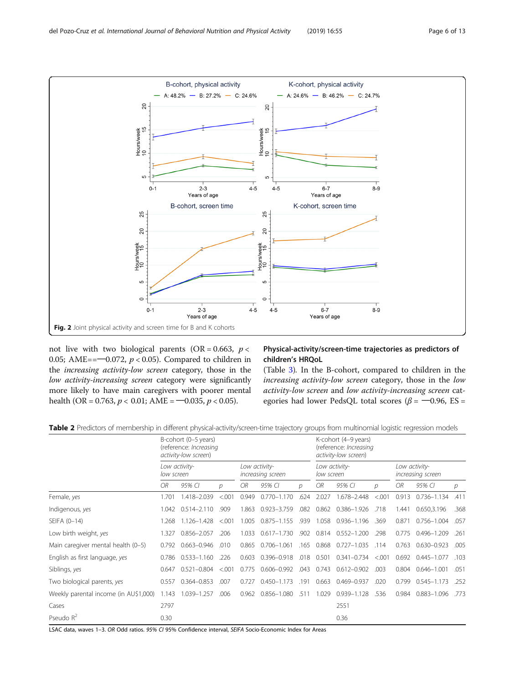<span id="page-5-0"></span>

not live with two biological parents (OR = 0.663,  $p <$ 0.05; AME== $-0.072$ ,  $p < 0.05$ ). Compared to children in the increasing activity-low screen category, those in the low activity-increasing screen category were significantly more likely to have main caregivers with poorer mental health (OR = 0.763,  $p < 0.01$ ; AME = -0.035,  $p < 0.05$ ).

# Physical-activity/screen-time trajectories as predictors of children's HRQoL

(Table [3\)](#page-6-0). In the B-cohort, compared to children in the increasing activity-low screen category, those in the low activity-low screen and low activity-increasing screen categories had lower PedsQL total scores ( $\beta$  =  $-0.96$ , ES =

|  |  | Table 2 Predictors of membership in different physical-activity/screen-time trajectory groups from multinomial logistic regression models |
|--|--|-------------------------------------------------------------------------------------------------------------------------------------------|
|  |  |                                                                                                                                           |

|                                       |            | B-cohort (0-5 years)<br>(reference: Increasing<br>activity-low screen) |         |       |                                    |      |                             | K-cohort (4-9 years)<br>(reference: Increasing<br>activity-low screen) |         |       |                                    |               |
|---------------------------------------|------------|------------------------------------------------------------------------|---------|-------|------------------------------------|------|-----------------------------|------------------------------------------------------------------------|---------|-------|------------------------------------|---------------|
|                                       | low screen | Low activity-                                                          |         |       | Low activity-<br>increasing screen |      | Low activity-<br>low screen |                                                                        |         |       | Low activity-<br>increasing screen |               |
|                                       | ОR         | 95% CI                                                                 | D       | OR.   | 95% CI                             | n.   | OR.                         | 95% CI                                                                 | D       | ОR    | 95% CI                             | $\mathcal{D}$ |
| Female, yes                           | 1.701      | 1.418-2.039                                                            | < 0.001 | 0.949 | $0.770 - 1.170$                    | .624 | 2.027                       | 1.678-2.448                                                            | < 0.001 | 0.913 | $0.736 - 1.134$                    | .411          |
| Indigenous, yes                       | 1.042      | $0.514 - 2.110$                                                        | .909    | 1.863 | 0.923-3.759                        | .082 | 0.862                       | 0.386-1.926                                                            | .718    | 1.441 | 0.650,3.196                        | .368          |
| SEIFA (0-14)                          | .268       | 1.126-1.428                                                            | < 0.001 | 1.005 | $0.875 - 1.155$                    | .939 | 1.058                       | $0.936 - 1.196$                                                        | .369    | 0.871 | $0.756 - 1.004$                    | .057          |
| Low birth weight, yes                 | 1.327      | 0.856-2.057                                                            | .206    | 1.033 | $0.617 - 1.730$                    | .902 | 0.814                       | $0.552 - 1.200$                                                        | .298    | 0.775 | $0.496 - 1.209$                    | .261          |
| Main caregiver mental health (0-5)    | 0.792      | $0.663 - 0.946$                                                        | .010    | 0.865 | $0.706 - 1.061$                    | .165 | 0.868                       | $0.727 - 1.035$                                                        | .114    | 0.763 | $0.630 - 0.923$                    | .005          |
| English as first language, yes        | 0.786      | $0.533 - 1.160$                                                        | .226    | 0.603 | 0.396-0.918                        | .018 | 0.501                       | $0.341 - 0.734$                                                        | < 0.001 | 0.692 | $0.445 - 1.077$                    | .103          |
| Siblings, yes                         | 0.647      | $0.521 - 0.804$                                                        | < 0.001 | 0.775 | $0.606 - 0.992$                    | .043 | 0.743                       | $0.612 - 0.902$                                                        | .003    | 0.804 | $0.646 - 1.001$                    | .051          |
| Two biological parents, yes           | 0.557      | $0.364 - 0.853$                                                        | .007    | 0.727 | 0.450-1.173                        | .191 | 0.663                       | 0.469-0.937                                                            | .020    | 0.799 | $0.545 - 1.173$                    | .252          |
| Weekly parental income (in AU\$1,000) | 1.143      | 1.039-1.257                                                            | .006    | 0.962 | 0.856-1.080                        | .511 | 1.029                       | 0.939-1.128                                                            | .536    | 0.984 | $0.883 - 1.096$                    | .773          |
| Cases                                 | 2797       |                                                                        |         |       |                                    |      |                             | 2551                                                                   |         |       |                                    |               |
| Pseudo $R^2$                          | 0.30       |                                                                        |         |       |                                    |      |                             | 0.36                                                                   |         |       |                                    |               |

LSAC data, waves 1-3. OR Odd ratios. 95% CI 95% Confidence interval, SEIFA Socio-Economic Index for Areas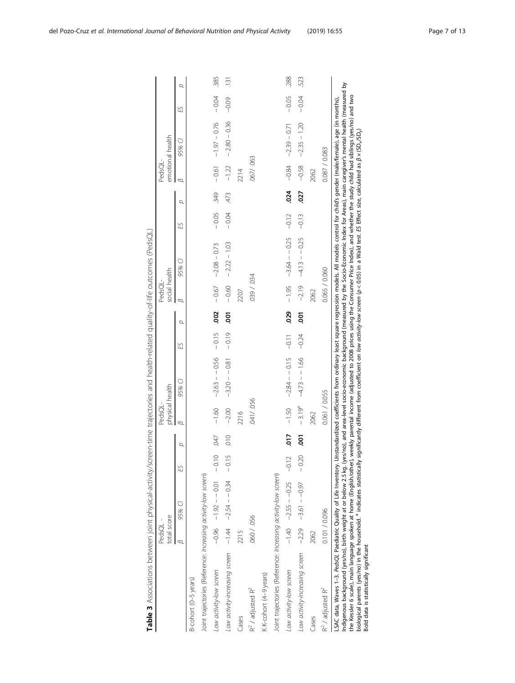<span id="page-6-0"></span>

|                                                                                                                                                                                                                                                                                                                                                                                                                                                                                                                                                                                                                                | PedsQL -      |                                 |    |                | PedsQL-         |                       |         |      | PedsQL-       |                                                                                                                                                                                                                                                                                                                                 |         |      | PedsQL-       | emotional health        |         |                 |
|--------------------------------------------------------------------------------------------------------------------------------------------------------------------------------------------------------------------------------------------------------------------------------------------------------------------------------------------------------------------------------------------------------------------------------------------------------------------------------------------------------------------------------------------------------------------------------------------------------------------------------|---------------|---------------------------------|----|----------------|-----------------|-----------------------|---------|------|---------------|---------------------------------------------------------------------------------------------------------------------------------------------------------------------------------------------------------------------------------------------------------------------------------------------------------------------------------|---------|------|---------------|-------------------------|---------|-----------------|
|                                                                                                                                                                                                                                                                                                                                                                                                                                                                                                                                                                                                                                | total score   |                                 |    |                | physical health |                       |         |      | social health |                                                                                                                                                                                                                                                                                                                                 |         |      |               |                         |         |                 |
|                                                                                                                                                                                                                                                                                                                                                                                                                                                                                                                                                                                                                                | $\infty$      | 95% CI                          | 53 | $\sigma$       | $\infty$        | 95% CI                | ES      | σ    | B             | 95% CI                                                                                                                                                                                                                                                                                                                          | £S      | Q    | $\omega$      | 95% CI                  | ES      | p               |
| B-cohort (0-5 years)                                                                                                                                                                                                                                                                                                                                                                                                                                                                                                                                                                                                           |               |                                 |    |                |                 |                       |         |      |               |                                                                                                                                                                                                                                                                                                                                 |         |      |               |                         |         |                 |
| Joint trajectories (Reference: Increasing activity-low screen)                                                                                                                                                                                                                                                                                                                                                                                                                                                                                                                                                                 |               |                                 |    |                |                 |                       |         |      |               |                                                                                                                                                                                                                                                                                                                                 |         |      |               |                         |         |                 |
| Low activity-low screen                                                                                                                                                                                                                                                                                                                                                                                                                                                                                                                                                                                                        |               | $-0.96$ $-1.01$ $-0.01$ $-0.01$ |    | 647            | $-1.60$         | $-2.63 - 0.56$        | $-0.15$ | .002 | $-0.67$       | $-2.08 - 0.73$                                                                                                                                                                                                                                                                                                                  | $-0.05$ | 349  |               | $-0.61$ $-1.97 - 0.76$  | $-0.04$ | 385             |
| Low activity-increasing screen                                                                                                                                                                                                                                                                                                                                                                                                                                                                                                                                                                                                 |               | $-1.44$ $-2.54 - 0.34$ $-0.34$  | 5  | $\frac{1}{2}$  | $-2.00$         | $-3.20 - 0.81$        | $-0.19$ | 5ó   | $-0.60$       | $-2.22 - 1.03$                                                                                                                                                                                                                                                                                                                  | $-0.04$ | 473  | $-1.22$       | $-2.80 - 0.36$          | $-0.09$ | $\frac{131}{2}$ |
| Cases                                                                                                                                                                                                                                                                                                                                                                                                                                                                                                                                                                                                                          | 2215          |                                 |    |                | 2216            |                       |         |      | 2207          |                                                                                                                                                                                                                                                                                                                                 |         |      | 2214          |                         |         |                 |
| $R^2$ / adjusted $R^2$                                                                                                                                                                                                                                                                                                                                                                                                                                                                                                                                                                                                         | 060 / 056     |                                 |    |                | 041/056         |                       |         |      | 039 / 034     |                                                                                                                                                                                                                                                                                                                                 |         |      | 067/063       |                         |         |                 |
| KK-cohort (4-9 years)                                                                                                                                                                                                                                                                                                                                                                                                                                                                                                                                                                                                          |               |                                 |    |                |                 |                       |         |      |               |                                                                                                                                                                                                                                                                                                                                 |         |      |               |                         |         |                 |
| Joint trajectories (Reference: Increasing activity-low screen)                                                                                                                                                                                                                                                                                                                                                                                                                                                                                                                                                                 |               |                                 |    |                |                 |                       |         |      |               |                                                                                                                                                                                                                                                                                                                                 |         |      |               |                         |         |                 |
| Low activity-low screen                                                                                                                                                                                                                                                                                                                                                                                                                                                                                                                                                                                                        |               | $-1.40 - 2.55 - -0.25 - -0.12$  |    | $-210$         | $-1.50$         | $-2.84 - 0.15 - 0.11$ |         | 029  |               | $-1.95$ $-3.64 - -0.25$ $-0.12$                                                                                                                                                                                                                                                                                                 |         | .024 |               | $-0.84$ $-2.39$ $-0.71$ | $-0.05$ | 288             |
| Low activity-increasing screen $-2.29$ $-3.61$ $-0.97$ $-0.20$                                                                                                                                                                                                                                                                                                                                                                                                                                                                                                                                                                 |               |                                 |    | $\overline{5}$ | $-3.19^{a}$     | $-4.73 - 1.66 - 0.24$ |         | ຣຸ   |               | $-2.19$ $-4.13 - 0.25$                                                                                                                                                                                                                                                                                                          | $-0.13$ | .027 |               | $-0.58$ $-2.35 - 1.20$  | $-0.04$ | 523             |
| Cases                                                                                                                                                                                                                                                                                                                                                                                                                                                                                                                                                                                                                          | 2062          |                                 |    |                | 2062            |                       |         |      | 2062          |                                                                                                                                                                                                                                                                                                                                 |         |      | 2062          |                         |         |                 |
| $R^2$ / adjusted $R^2$                                                                                                                                                                                                                                                                                                                                                                                                                                                                                                                                                                                                         | 0.101 / 0.096 |                                 |    |                | 0.061 / 0.055   |                       |         |      | 0.065 / 0.060 |                                                                                                                                                                                                                                                                                                                                 |         |      | 0.087 / 0.083 |                         |         |                 |
| Indigenous background (yes/no), birth weight at or below 2.5 kg. (yes/no), and area-level socio-economic dneasured by the Socio-Economic Index for Areas), main caregiver's mental health (measured by<br>the Kessler 6 scale), main language spoken at home (English/other), weekly parental income (adjusted to 2008 prices using the Consumer Price Index), and whether the study child had siblings (yes/no) and two<br>biological parents (yes/no) in the household. <sup>a</sup> indicates statistically<br>LSAC data, Waves 1-3. PedsQL Paediatric Quality of Life Inventory.<br>Bold data is statistically significant |               |                                 |    |                |                 |                       |         |      |               | Unstandardized coefficients from ordinary least square regression models. All models control for child's gender (male/female), age (in months)<br>significantly different from coefficient on low activity-low screen (p < 0.05) in a Wald test. ES Effect size, calculated as $\beta \times$ (SD <sub>y</sub> /SD <sub>y</sub> |         |      |               |                         |         |                 |

Table 3 Associations between joint physical-activity/screen-time trajectories and health-related quality-of-life outcomes (PedsQL) Table 3 Associations between joint physical-activity/screen-time trajectories and health-related quality-of-life outcomes (PedsQL)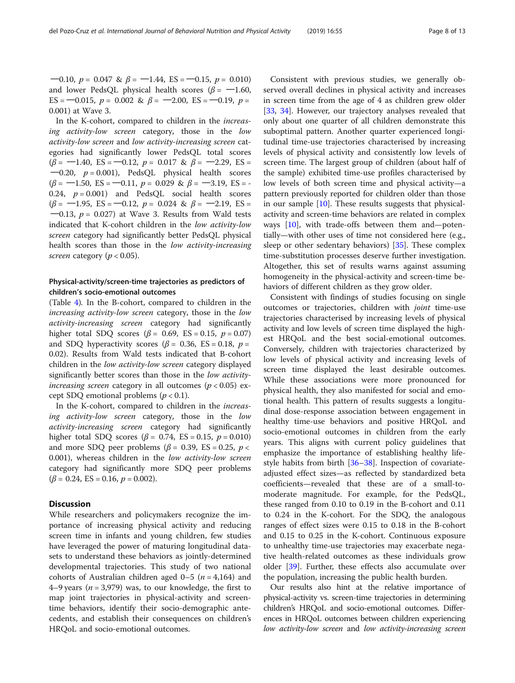$-0.10, p = 0.047 \& \beta = -1.44, ES = -0.15, p = 0.010$ and lower PedsQL physical health scores ( $\beta$  = -1.60, ES =  $-0.015$ ,  $p = 0.002$  &  $\beta = -2.00$ , ES =  $-0.19$ ,  $p =$ 0.001) at Wave 3.

In the K-cohort, compared to children in the increasing activity-low screen category, those in the low activity-low screen and low activity-increasing screen categories had significantly lower PedsQL total scores  $(\beta = -1.40, \text{ ES} = -0.12, p = 0.017 \& \beta = -2.29, \text{ ES} =$  $-0.20$ ,  $p = 0.001$ ), PedsQL physical health scores  $(\beta = -1.50, \text{ ES} = -0.11, p = 0.029 \& \beta = -3.19, \text{ ES} = -1.50$ 0.24,  $p = 0.001$ ) and PedsQL social health scores  $(\beta = -1.95, \text{ ES} = -0.12, p = 0.024 \& \beta = -2.19, \text{ ES} =$  $-0.13$ ,  $p = 0.027$ ) at Wave 3. Results from Wald tests indicated that K-cohort children in the low activity-low screen category had significantly better PedsQL physical health scores than those in the low activity-increasing screen category ( $p < 0.05$ ).

# Physical-activity/screen-time trajectories as predictors of children's socio-emotional outcomes

(Table [4\)](#page-8-0). In the B-cohort, compared to children in the increasing activity-low screen category, those in the low activity-increasing screen category had significantly higher total SDQ scores ( $\beta$  = 0.69, ES = 0.15,  $p$  = 0.07) and SDQ hyperactivity scores ( $\beta$  = 0.36, ES = 0.18,  $p$  = 0.02). Results from Wald tests indicated that B-cohort children in the low activity-low screen category displayed significantly better scores than those in the low activityincreasing screen category in all outcomes ( $p < 0.05$ ) except SDQ emotional problems  $(p < 0.1)$ .

In the K-cohort, compared to children in the increasing activity-low screen category, those in the low activity-increasing screen category had significantly higher total SDQ scores ( $β = 0.74$ , ES = 0.15,  $p = 0.010$ ) and more SDQ peer problems ( $\beta$  = 0.39, ES = 0.25, p < 0.001), whereas children in the low activity-low screen category had significantly more SDQ peer problems  $(\beta = 0.24, ES = 0.16, p = 0.002).$ 

# **Discussion**

While researchers and policymakers recognize the importance of increasing physical activity and reducing screen time in infants and young children, few studies have leveraged the power of maturing longitudinal datasets to understand these behaviors as jointly-determined developmental trajectories. This study of two national cohorts of Australian children aged  $0-5$  ( $n = 4,164$ ) and 4–9 years ( $n = 3,979$ ) was, to our knowledge, the first to map joint trajectories in physical-activity and screentime behaviors, identify their socio-demographic antecedents, and establish their consequences on children's HRQoL and socio-emotional outcomes.

Consistent with previous studies, we generally observed overall declines in physical activity and increases in screen time from the age of 4 as children grew older [[33,](#page-11-0) [34\]](#page-11-0). However, our trajectory analyses revealed that only about one quarter of all children demonstrate this suboptimal pattern. Another quarter experienced longitudinal time-use trajectories characterised by increasing levels of physical activity and consistently low levels of screen time. The largest group of children (about half of the sample) exhibited time-use profiles characterised by low levels of both screen time and physical activity—a pattern previously reported for children older than those in our sample [[10\]](#page-11-0). These results suggests that physicalactivity and screen-time behaviors are related in complex ways  $[10]$  $[10]$ , with trade-offs between them and—potentially—with other uses of time not considered here (e.g., sleep or other sedentary behaviors) [\[35](#page-11-0)]. These complex time-substitution processes deserve further investigation. Altogether, this set of results warns against assuming homogeneity in the physical-activity and screen-time behaviors of different children as they grow older.

Consistent with findings of studies focusing on single outcomes or trajectories, children with joint time-use trajectories characterised by increasing levels of physical activity and low levels of screen time displayed the highest HRQoL and the best social-emotional outcomes. Conversely, children with trajectories characterized by low levels of physical activity and increasing levels of screen time displayed the least desirable outcomes. While these associations were more pronounced for physical health, they also manifested for social and emotional health. This pattern of results suggests a longitudinal dose-response association between engagement in healthy time-use behaviors and positive HRQoL and socio-emotional outcomes in children from the early years. This aligns with current policy guidelines that emphasize the importance of establishing healthy lifestyle habits from birth [\[36](#page-11-0)–[38\]](#page-12-0). Inspection of covariateadjusted effect sizes—as reflected by standardized beta coefficients—revealed that these are of a small-tomoderate magnitude. For example, for the PedsQL, these ranged from 0.10 to 0.19 in the B-cohort and 0.11 to 0.24 in the K-cohort. For the SDQ, the analogous ranges of effect sizes were 0.15 to 0.18 in the B-cohort and 0.15 to 0.25 in the K-cohort. Continuous exposure to unhealthy time-use trajectories may exacerbate negative health-related outcomes as these individuals grow older [[39\]](#page-12-0). Further, these effects also accumulate over the population, increasing the public health burden.

Our results also hint at the relative importance of physical-activity vs. screen-time trajectories in determining children's HRQoL and socio-emotional outcomes. Differences in HRQoL outcomes between children experiencing low activity-low screen and low activity-increasing screen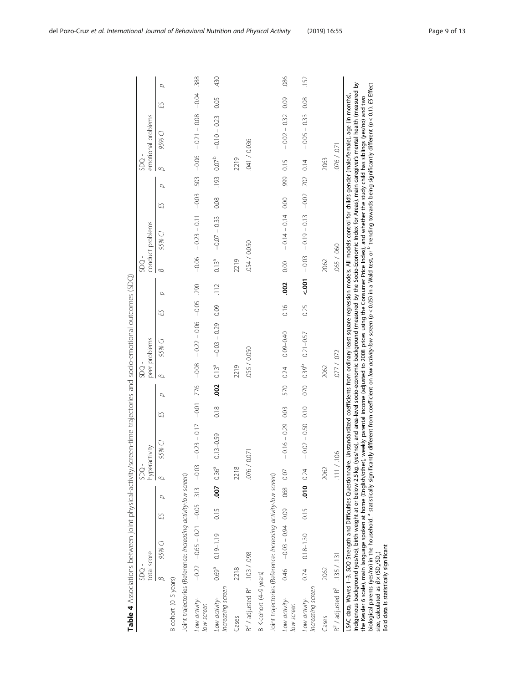<span id="page-8-0"></span>

| Table 4 Associations between joint physical-activity/scr                                                                                                                                                                                                                                                                                                                                                                                                                                                                                                                                                                                                                                                                                                                                                                                                       | .<br>SDQ    |                                         |      |                            | SDQ-                |                |      |      | gg          | reen-time trajectories and socio-emotional outcomes (SDQ)                                                                                       |      |               | SDO                 |                                                      |         |      | SDQ-              |                    |      |          |  |
|----------------------------------------------------------------------------------------------------------------------------------------------------------------------------------------------------------------------------------------------------------------------------------------------------------------------------------------------------------------------------------------------------------------------------------------------------------------------------------------------------------------------------------------------------------------------------------------------------------------------------------------------------------------------------------------------------------------------------------------------------------------------------------------------------------------------------------------------------------------|-------------|-----------------------------------------|------|----------------------------|---------------------|----------------|------|------|-------------|-------------------------------------------------------------------------------------------------------------------------------------------------|------|---------------|---------------------|------------------------------------------------------|---------|------|-------------------|--------------------|------|----------|--|
|                                                                                                                                                                                                                                                                                                                                                                                                                                                                                                                                                                                                                                                                                                                                                                                                                                                                | total score |                                         |      |                            |                     | hyperactivity  |      |      |             | peer problems                                                                                                                                   |      |               |                     | conduct problems                                     |         |      |                   | emotional problems |      |          |  |
|                                                                                                                                                                                                                                                                                                                                                                                                                                                                                                                                                                                                                                                                                                                                                                                                                                                                | $\beta$     | 95% CI                                  | ES   | σ                          | $\overline{\omega}$ | 95% CI         | ES   | σ    | B           | 95% CI                                                                                                                                          | ES   | p             | $\overline{\omega}$ | 95% CI                                               | ES      | σ    | $\omega$          | 95% CI             | ES   | $\sigma$ |  |
| B-cohort (0-5 years)                                                                                                                                                                                                                                                                                                                                                                                                                                                                                                                                                                                                                                                                                                                                                                                                                                           |             |                                         |      |                            |                     |                |      |      |             |                                                                                                                                                 |      |               |                     |                                                      |         |      |                   |                    |      |          |  |
| Joint trajectories (Reference: Increasing activity-low screen)                                                                                                                                                                                                                                                                                                                                                                                                                                                                                                                                                                                                                                                                                                                                                                                                 |             |                                         |      |                            |                     |                |      |      |             |                                                                                                                                                 |      |               |                     |                                                      |         |      |                   |                    |      |          |  |
| Low activity-<br>low screen                                                                                                                                                                                                                                                                                                                                                                                                                                                                                                                                                                                                                                                                                                                                                                                                                                    |             | $-0.22 -0.65 - 0.21 -0.05$ .313 $-0.03$ |      |                            |                     |                |      |      |             | $-0.23 - 0.17 - 0.01$ $-0.08 - 0.22 - 0.06 - 0.05$ 290                                                                                          |      |               | $-0.06$             | $-0.23 - 0.11 - 0.03$ .503 .503 .500 - 0.000 - 0.004 |         |      |                   |                    |      | .388     |  |
| increasing screen<br>Low activity-                                                                                                                                                                                                                                                                                                                                                                                                                                                                                                                                                                                                                                                                                                                                                                                                                             |             | $0.69^9$ $0.19 - 1.19$                  |      | $0.15$ .007 $0.36^{\circ}$ |                     | $0.13 - 0.59$  | 0.18 | .002 | $0.13^{a}$  | $-0.03 - 0.29$                                                                                                                                  | 0.09 | $\frac{1}{2}$ | $0.13^{a}$          | $-0.07 - 0.33$                                       | 0.08    | .193 | 0.07 <sup>b</sup> | $-0.10 - 0.23$     | 0.05 | 430      |  |
| Cases                                                                                                                                                                                                                                                                                                                                                                                                                                                                                                                                                                                                                                                                                                                                                                                                                                                          | 2218        |                                         |      |                            | 2218                |                |      |      | 2219        |                                                                                                                                                 |      |               | 2219                |                                                      |         |      | 2219              |                    |      |          |  |
| $R^2$ / adjusted $R^2$ . 103 / .098                                                                                                                                                                                                                                                                                                                                                                                                                                                                                                                                                                                                                                                                                                                                                                                                                            |             |                                         |      |                            | 0/9/0               | $\overline{O}$ |      |      | 055 / 0.050 |                                                                                                                                                 |      |               | 054 / 0.050         |                                                      |         |      | 041/0036          |                    |      |          |  |
| B K-cohort (4-9 years)                                                                                                                                                                                                                                                                                                                                                                                                                                                                                                                                                                                                                                                                                                                                                                                                                                         |             |                                         |      |                            |                     |                |      |      |             |                                                                                                                                                 |      |               |                     |                                                      |         |      |                   |                    |      |          |  |
| Joint trajectories (Reference: Increasing activity-low screen)                                                                                                                                                                                                                                                                                                                                                                                                                                                                                                                                                                                                                                                                                                                                                                                                 |             |                                         |      |                            |                     |                |      |      |             |                                                                                                                                                 |      |               |                     |                                                      |         |      |                   |                    |      |          |  |
| Low activity-<br>low screen                                                                                                                                                                                                                                                                                                                                                                                                                                                                                                                                                                                                                                                                                                                                                                                                                                    | 0.46        | $-0.03 - 0.94$ 0.09                     |      | 0.07                       |                     | $-0.16 - 0.29$ | 0.03 | 570  | 0.24        | 0.09-0.40                                                                                                                                       | 0.16 | .002          | 0.00                | $-0.14 - 0.14$                                       | 0.00    | .999 | 0.15              | $-0.02 - 0.32$     | 0.09 | .086     |  |
| increasing screen<br>Low activity-                                                                                                                                                                                                                                                                                                                                                                                                                                                                                                                                                                                                                                                                                                                                                                                                                             | 0.74        | $0.18 - 1.30$                           | 0.15 | $.010$ 0.24                |                     | $-0.02 - 0.50$ | 0.10 | 070  | $0.39^{b}$  | $0.21 - 0.57$                                                                                                                                   | 0.25 | 500           | $-0.03$             | $-0.19 - 0.13$                                       | $-0.02$ | .702 | 0.14              | $-0.05 - 0.33$     | 0.08 | .152     |  |
| Cases                                                                                                                                                                                                                                                                                                                                                                                                                                                                                                                                                                                                                                                                                                                                                                                                                                                          | 2062        |                                         |      |                            | 2062                |                |      |      | 2062        |                                                                                                                                                 |      |               | 2062                |                                                      |         |      | 2063              |                    |      |          |  |
| $R^2$ / adjusted $R^2$ . 135 / .131                                                                                                                                                                                                                                                                                                                                                                                                                                                                                                                                                                                                                                                                                                                                                                                                                            |             |                                         |      |                            | 111 / 1             | 8 <sup>o</sup> |      |      | 077/072     |                                                                                                                                                 |      |               | 065 / 060           |                                                      |         |      | 076/071           |                    |      |          |  |
| Indigenous background (yes/no), birth weight at or below 2.5 kg. (yes/no), and area-level socio-economic background (measured by the Socio-Economic Index for Areas), main caregiver's mental health (measured by<br>biological parents (yes/no) in the household. <sup>a</sup> statistically significantly different from coefficient on <i>low activity-low screen (p</i> < 0.05) in a Wald test, or <sup>b</sup> trending towards being significantly different (p < 0.<br>the Kessler 6 scale), main language spoken at home (English/other), weekly parental income (adjusted to 2008 prices using the Consumer Price Index), and whether the study child has siblings (yes/no) and two<br>LSAC data, Waves 1-3. SDQ Strength and Difficulties Questionnaire.<br>Bold data is statistically significant<br>size, calculated as $\beta \times (SD_x/SD_y)$ |             |                                         |      |                            |                     |                |      |      |             | Unstandardized coefficients from ordinary least square regression models. All models control for child's gender (male/female), age (in months), |      |               |                     |                                                      |         |      |                   |                    |      |          |  |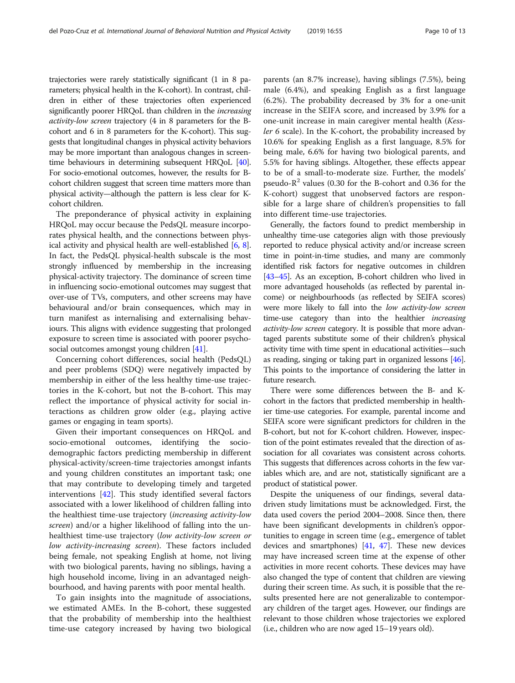trajectories were rarely statistically significant (1 in 8 parameters; physical health in the K-cohort). In contrast, children in either of these trajectories often experienced significantly poorer HRQoL than children in the *increasing* activity-low screen trajectory (4 in 8 parameters for the Bcohort and 6 in 8 parameters for the K-cohort). This suggests that longitudinal changes in physical activity behaviors may be more important than analogous changes in screentime behaviours in determining subsequent HRQoL [\[40](#page-12-0)]. For socio-emotional outcomes, however, the results for Bcohort children suggest that screen time matters more than physical activity—although the pattern is less clear for Kcohort children.

The preponderance of physical activity in explaining HRQoL may occur because the PedsQL measure incorporates physical health, and the connections between physical activity and physical health are well-established [\[6](#page-11-0), [8](#page-11-0)]. In fact, the PedsQL physical-health subscale is the most strongly influenced by membership in the increasing physical-activity trajectory. The dominance of screen time in influencing socio-emotional outcomes may suggest that over-use of TVs, computers, and other screens may have behavioural and/or brain consequences, which may in turn manifest as internalising and externalising behaviours. This aligns with evidence suggesting that prolonged exposure to screen time is associated with poorer psycho-social outcomes amongst young children [\[41](#page-12-0)].

Concerning cohort differences, social health (PedsQL) and peer problems (SDQ) were negatively impacted by membership in either of the less healthy time-use trajectories in the K-cohort, but not the B-cohort. This may reflect the importance of physical activity for social interactions as children grow older (e.g., playing active games or engaging in team sports).

Given their important consequences on HRQoL and socio-emotional outcomes, identifying the sociodemographic factors predicting membership in different physical-activity/screen-time trajectories amongst infants and young children constitutes an important task; one that may contribute to developing timely and targeted interventions [\[42](#page-12-0)]. This study identified several factors associated with a lower likelihood of children falling into the healthiest time-use trajectory (increasing activity-low screen) and/or a higher likelihood of falling into the unhealthiest time-use trajectory (low activity-low screen or low activity-increasing screen). These factors included being female, not speaking English at home, not living with two biological parents, having no siblings, having a high household income, living in an advantaged neighbourhood, and having parents with poor mental health.

To gain insights into the magnitude of associations, we estimated AMEs. In the B-cohort, these suggested that the probability of membership into the healthiest time-use category increased by having two biological parents (an 8.7% increase), having siblings (7.5%), being male (6.4%), and speaking English as a first language (6.2%). The probability decreased by 3% for a one-unit increase in the SEIFA score, and increased by 3.9% for a one-unit increase in main caregiver mental health (Kessler 6 scale). In the K-cohort, the probability increased by 10.6% for speaking English as a first language, 8.5% for being male, 6.6% for having two biological parents, and 5.5% for having siblings. Altogether, these effects appear to be of a small-to-moderate size. Further, the models' pseudo- $R^2$  values (0.30 for the B-cohort and 0.36 for the K-cohort) suggest that unobserved factors are responsible for a large share of children's propensities to fall into different time-use trajectories.

Generally, the factors found to predict membership in unhealthy time-use categories align with those previously reported to reduce physical activity and/or increase screen time in point-in-time studies, and many are commonly identified risk factors for negative outcomes in children [[43](#page-12-0)–[45](#page-12-0)]. As an exception, B-cohort children who lived in more advantaged households (as reflected by parental income) or neighbourhoods (as reflected by SEIFA scores) were more likely to fall into the low activity-low screen time-use category than into the healthier increasing activity-low screen category. It is possible that more advantaged parents substitute some of their children's physical activity time with time spent in educational activities—such as reading, singing or taking part in organized lessons [\[46](#page-12-0)]. This points to the importance of considering the latter in future research.

There were some differences between the B- and Kcohort in the factors that predicted membership in healthier time-use categories. For example, parental income and SEIFA score were significant predictors for children in the B-cohort, but not for K-cohort children. However, inspection of the point estimates revealed that the direction of association for all covariates was consistent across cohorts. This suggests that differences across cohorts in the few variables which are, and are not, statistically significant are a product of statistical power.

Despite the uniqueness of our findings, several datadriven study limitations must be acknowledged. First, the data used covers the period 2004–2008. Since then, there have been significant developments in children's opportunities to engage in screen time (e.g., emergence of tablet devices and smartphones) [[41](#page-12-0), [47](#page-12-0)]. These new devices may have increased screen time at the expense of other activities in more recent cohorts. These devices may have also changed the type of content that children are viewing during their screen time. As such, it is possible that the results presented here are not generalizable to contemporary children of the target ages. However, our findings are relevant to those children whose trajectories we explored (i.e., children who are now aged 15–19 years old).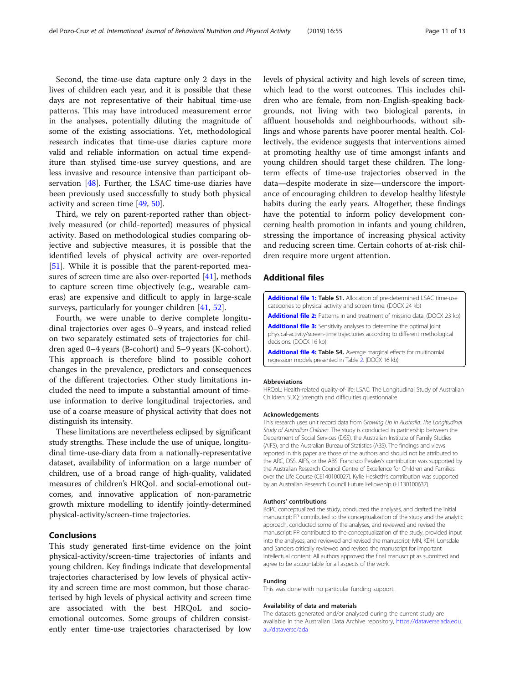<span id="page-10-0"></span>Second, the time-use data capture only 2 days in the lives of children each year, and it is possible that these days are not representative of their habitual time-use patterns. This may have introduced measurement error in the analyses, potentially diluting the magnitude of some of the existing associations. Yet, methodological research indicates that time-use diaries capture more valid and reliable information on actual time expenditure than stylised time-use survey questions, and are less invasive and resource intensive than participant observation [\[48](#page-12-0)]. Further, the LSAC time-use diaries have been previously used successfully to study both physical activity and screen time [\[49](#page-12-0), [50\]](#page-12-0).

Third, we rely on parent-reported rather than objectively measured (or child-reported) measures of physical activity. Based on methodological studies comparing objective and subjective measures, it is possible that the identified levels of physical activity are over-reported [[51\]](#page-12-0). While it is possible that the parent-reported measures of screen time are also over-reported [\[41](#page-12-0)], methods to capture screen time objectively (e.g., wearable cameras) are expensive and difficult to apply in large-scale surveys, particularly for younger children [[41](#page-12-0), [52](#page-12-0)].

Fourth, we were unable to derive complete longitudinal trajectories over ages 0–9 years, and instead relied on two separately estimated sets of trajectories for children aged 0–4 years (B-cohort) and 5–9 years (K-cohort). This approach is therefore blind to possible cohort changes in the prevalence, predictors and consequences of the different trajectories. Other study limitations included the need to impute a substantial amount of timeuse information to derive longitudinal trajectories, and use of a coarse measure of physical activity that does not distinguish its intensity.

These limitations are nevertheless eclipsed by significant study strengths. These include the use of unique, longitudinal time-use-diary data from a nationally-representative dataset, availability of information on a large number of children, use of a broad range of high-quality, validated measures of children's HRQoL and social-emotional outcomes, and innovative application of non-parametric growth mixture modelling to identify jointly-determined physical-activity/screen-time trajectories.

# Conclusions

This study generated first-time evidence on the joint physical-activity/screen-time trajectories of infants and young children. Key findings indicate that developmental trajectories characterised by low levels of physical activity and screen time are most common, but those characterised by high levels of physical activity and screen time are associated with the best HRQoL and socioemotional outcomes. Some groups of children consistently enter time-use trajectories characterised by low

levels of physical activity and high levels of screen time, which lead to the worst outcomes. This includes children who are female, from non-English-speaking backgrounds, not living with two biological parents, in affluent households and neighbourhoods, without siblings and whose parents have poorer mental health. Collectively, the evidence suggests that interventions aimed at promoting healthy use of time amongst infants and young children should target these children. The longterm effects of time-use trajectories observed in the data—despite moderate in size—underscore the importance of encouraging children to develop healthy lifestyle habits during the early years. Altogether, these findings have the potential to inform policy development concerning health promotion in infants and young children, stressing the importance of increasing physical activity and reducing screen time. Certain cohorts of at-risk children require more urgent attention.

# Additional files

[Additional file 1:](https://doi.org/10.1186/s12966-019-0816-3) Table S1. Allocation of pre-determined LSAC time-use categories to physical activity and screen time. (DOCX 24 kb)

[Additional file 2:](https://doi.org/10.1186/s12966-019-0816-3) Patterns in and treatment of missing data. (DOCX 23 kb)

[Additional file 3:](https://doi.org/10.1186/s12966-019-0816-3) Sensitivity analyses to determine the optimal joint physical-activity/screen-time trajectories according to different methological decisions. (DOCX 16 kb)

[Additional file 4:](https://doi.org/10.1186/s12966-019-0816-3) Table S4. Average marginal effects for multinomial regression models presented in Table [2.](#page-5-0) (DOCX 16 kb)

#### Abbreviations

HRQoL: Health-related quality-of-life; LSAC: The Longitudinal Study of Australian Children; SDQ: Strength and difficulties questionnaire

#### Acknowledgements

This research uses unit record data from Growing Up in Australia: The Longitudinal Study of Australian Children. The study is conducted in partnership between the Department of Social Services (DSS), the Australian Institute of Family Studies (AIFS), and the Australian Bureau of Statistics (ABS). The findings and views reported in this paper are those of the authors and should not be attributed to the ARC, DSS, AIFS, or the ABS. Francisco Perales's contribution was supported by the Australian Research Council Centre of Excellence for Children and Families over the Life Course (CE140100027). Kylie Hesketh's contribution was supported by an Australian Research Council Future Fellowship (FT130100637).

#### Authors' contributions

BdPC conceptualized the study, conducted the analyses, and drafted the initial manuscript; FP contributed to the conceptualization of the study and the analytic approach, conducted some of the analyses, and reviewed and revised the manuscript; PP contributed to the conceptualization of the study, provided input into the analyses, and reviewed and revised the manuscript; MN, KDH, Lonsdale and Sanders critically reviewed and revised the manuscript for important intellectual content. All authors approved the final manuscript as submitted and agree to be accountable for all aspects of the work.

#### Funding

This was done with no particular funding support.

#### Availability of data and materials

The datasets generated and/or analysed during the current study are available in the Australian Data Archive repository, [https://dataverse.ada.edu.](https://dataverse.ada.edu.au/dataverse/ada) [au/dataverse/ada](https://dataverse.ada.edu.au/dataverse/ada)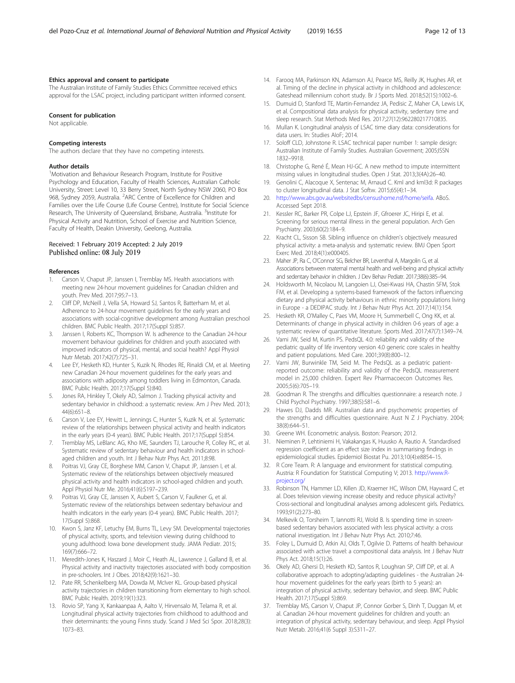#### <span id="page-11-0"></span>Ethics approval and consent to participate

The Australian Institute of Family Studies Ethics Committee received ethics approval for the LSAC project, including participant written informed consent.

#### Consent for publication

Not applicable.

#### Competing interests

The authors declare that they have no competing interests.

#### Author details

<sup>1</sup>Motivation and Behaviour Research Program, Institute for Positive Psychology and Education, Faculty of Health Sciences, Australian Catholic University, Street: Level 10, 33 Berry Street, North Sydney NSW 2060, PO Box 968, Sydney 2059, Australia. <sup>2</sup>ARC Centre of Excellence for Children and Families over the Life Course (Life Course Centre), Institute for Social Science Research, The University of Queensland, Brisbane, Australia. <sup>3</sup>Institute for Physical Activity and Nutrition, School of Exercise and Nutrition Science, Faculty of Health, Deakin University, Geelong, Australia.

### Received: 1 February 2019 Accepted: 2 July 2019 Published online: 08 July 2019

#### References

- 1. Carson V, Chaput JP, Janssen I, Tremblay MS. Health associations with meeting new 24-hour movement guidelines for Canadian children and youth. Prev Med. 2017;95:7–13.
- 2. Cliff DP, McNeill J, Vella SA, Howard SJ, Santos R, Batterham M, et al. Adherence to 24-hour movement guidelines for the early years and associations with social-cognitive development among Australian preschool children. BMC Public Health. 2017;17(Suppl 5):857.
- 3. Janssen I, Roberts KC, Thompson W. Is adherence to the Canadian 24-hour movement behaviour guidelines for children and youth associated with improved indicators of physical, mental, and social health? Appl Physiol Nutr Metab. 2017;42(7):725–31.
- 4. Lee EY, Hesketh KD, Hunter S, Kuzik N, Rhodes RE, Rinaldi CM, et al. Meeting new Canadian 24-hour movement guidelines for the early years and associations with adiposity among toddlers living in Edmonton, Canada. BMC Public Health. 2017;17(Suppl 5):840.
- Jones RA, Hinkley T, Okely AD, Salmon J. Tracking physical activity and sedentary behavior in childhood: a systematic review. Am J Prev Med. 2013; 44(6):651–8.
- 6. Carson V, Lee EY, Hewitt L, Jennings C, Hunter S, Kuzik N, et al. Systematic review of the relationships between physical activity and health indicators in the early years (0-4 years). BMC Public Health. 2017;17(Suppl 5):854.
- 7. Tremblay MS, LeBlanc AG, Kho ME, Saunders TJ, Larouche R, Colley RC, et al. Systematic review of sedentary behaviour and health indicators in schoolaged children and youth. Int J Behav Nutr Phys Act. 2011;8:98.
- 8. Poitras VJ, Gray CE, Borghese MM, Carson V, Chaput JP, Janssen I, et al. Systematic review of the relationships between objectively measured physical activity and health indicators in school-aged children and youth. Appl Physiol Nutr Me. 2016;41(6):S197–239.
- 9. Poitras VJ, Gray CE, Janssen X, Aubert S, Carson V, Faulkner G, et al. Systematic review of the relationships between sedentary behaviour and health indicators in the early years (0-4 years). BMC Public Health. 2017; 17(Suppl 5):868.
- 10. Kwon S, Janz KF, Letuchy EM, Burns TL, Levy SM. Developmental trajectories of physical activity, sports, and television viewing during childhood to young adulthood: Iowa bone development study. JAMA Pediatr. 2015; 169(7):666–72.
- 11. Meredith-Jones K, Haszard J, Moir C, Heath AL, Lawrence J, Galland B, et al. Physical activity and inactivity trajectories associated with body composition in pre-schoolers. Int J Obes. 2018;42(9):1621–30.
- 12. Pate RR, Schenkelberg MA, Dowda M, McIver KL. Group-based physical activity trajectories in children transitioning from elementary to high school. BMC Public Health. 2019;19(1):323.
- 13. Rovio SP, Yang X, Kankaanpaa A, Aalto V, Hirvensalo M, Telama R, et al. Longitudinal physical activity trajectories from childhood to adulthood and their determinants: the young Finns study. Scand J Med Sci Spor. 2018;28(3): 1073–83.
- 14. Farooq MA, Parkinson KN, Adamson AJ, Pearce MS, Reilly JK, Hughes AR, et al. Timing of the decline in physical activity in childhood and adolescence: Gateshead millennium cohort study. Br J Sports Med. 2018;52(15):1002–6.
- 15. Dumuid D, Stanford TE, Martin-Fernandez JA, Pedisic Z, Maher CA, Lewis LK, et al. Compositional data analysis for physical activity, sedentary time and sleep research. Stat Methods Med Res. 2017;27(12):962280217710835.
- 16. Mullan K. Longitudinal analysis of LSAC time diary data: considerations for data users. In: Studies AIoF; 2014.
- 17. Soloff CLD, Johnstone R. LSAC technical paper number 1: sample design: Australian Institute of Family Studies. Australian Goverment; 2005;ISSN 1832–9918.
- 18. Christophe G, René É, Mean HJ-GC. A new method to impute intermittent missing values in longitudinal studies. Open J Stat. 2013;3(4A):26–40.
- 19. Genolini C, Alacoque X, Sentenac M, Arnaud C. Kml and kml3d: R packages to cluster longitudinal data. J Stat Softw. 2015;65(4):1–34.
- 20. [http://www.abs.gov.au/websitedbs/censushome.nsf/home/seifa.](http://www.abs.gov.au/websitedbs/censushome.nsf/home/seifa) ABoS. Accessed Sept 2018.
- 21. Kessler RC, Barker PR, Colpe LJ, Epstein JF, Gfroerer JC, Hiripi E, et al. Screening for serious mental illness in the general population. Arch Gen Psychiatry. 2003;60(2):184–9.
- 22. Kracht CL, Sisson SB. Sibling influence on children's objectively measured physical activity: a meta-analysis and systematic review. BMJ Open Sport Exerc Med. 2018;4(1):e000405.
- 23. Maher JP, Ra C, O'Connor SG, Belcher BR, Leventhal A, Margolin G, et al. Associations between maternal mental health and well-being and physical activity and sedentary behavior in children. J Dev Behav Pediatr. 2017;38(6):385–94.
- 24. Holdsworth M, Nicolaou M, Langoien LJ, Osei-Kwasi HA, Chastin SFM, Stok FM, et al. Developing a systems-based framework of the factors influencing dietary and physical activity behaviours in ethnic minority populations living in Europe - a DEDIPAC study. Int J Behav Nutr Phys Act. 2017;14(1):154.
- 25. Hesketh KR, O'Malley C, Paes VM, Moore H, Summerbell C, Ong KK, et al. Determinants of change in physical activity in children 0-6 years of age: a systematic review of quantitative literature. Sports Med. 2017;47(7):1349–74.
- 26. Varni JW, Seid M, Kurtin PS. PedsQL 4.0: reliability and validity of the pediatric quality of life inventory version 4.0 generic core scales in healthy and patient populations. Med Care. 2001;39(8):800–12.
- 27. Varni JW, Burwinkle TM, Seid M. The PedsQL as a pediatric patientreported outcome: reliability and validity of the PedsQL measurement model in 25,000 children. Expert Rev Pharmacoecon Outcomes Res. 2005;5(6):705–19.
- 28. Goodman R. The strengths and difficulties questionnaire: a research note. J Child Psychol Psychiatry. 1997;38(5):581–6.
- 29. Hawes DJ, Dadds MR. Australian data and psychometric properties of the strengths and difficulties questionnaire. Aust N Z J Psychiatry. 2004; 38(8):644–51.
- 30. Greene WH. Econometric analysis. Boston: Pearson; 2012.
- 31. Nieminen P, Lehtiniemi H, Vakakangas K, Huusko A, Rautio A. Standardised regression coefficient as an effect size index in summarising findings in epidemiological studies. Epidemiol Biostat Pu. 2013;10(4):e8854–15.
- 32. R Core Team. R: A language and environment for statistical computing. Austria: R Foundation for Statistical Computing V; 2013. [http://www.R](http://www.r-project.org/)[project.org/](http://www.r-project.org/)
- 33. Robinson TN, Hammer LD, Killen JD, Kraemer HC, Wilson DM, Hayward C, et al. Does television viewing increase obesity and reduce physical activity? Cross-sectional and longitudinal analyses among adolescent girls. Pediatrics. 1993;91(2):273–80.
- 34. Melkevik O, Torsheim T, Iannotti RJ, Wold B. Is spending time in screenbased sedentary behaviors associated with less physical activity: a cross national investigation. Int J Behav Nutr Phys Act. 2010;7:46.
- 35. Foley L, Dumuid D, Atkin AJ, Olds T, Ogilvie D. Patterns of health behaviour associated with active travel: a compositional data analysis. Int J Behav Nutr Phys Act. 2018;15(1):26.
- 36. Okely AD, Ghersi D, Hesketh KD, Santos R, Loughran SP, Cliff DP, et al. A collaborative approach to adopting/adapting guidelines - the Australian 24 hour movement guidelines for the early years (birth to 5 years): an integration of physical activity, sedentary behavior, and sleep. BMC Public Health. 2017;17(Suppl 5):869.
- 37. Tremblay MS, Carson V, Chaput JP, Connor Gorber S, Dinh T, Duggan M, et al. Canadian 24-hour movement guidelines for children and youth: an integration of physical activity, sedentary behaviour, and sleep. Appl Physiol Nutr Metab. 2016;41(6 Suppl 3):S311–27.